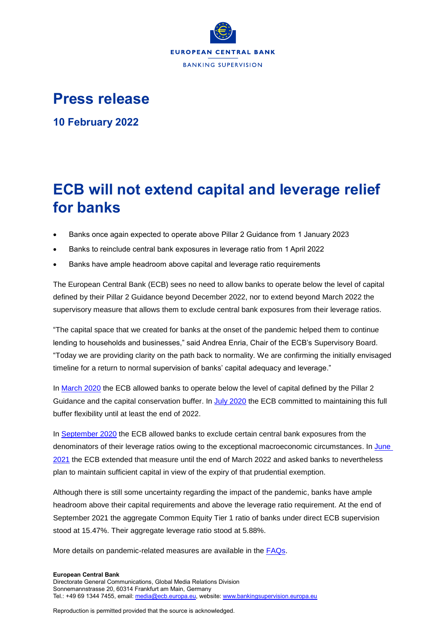

## **Press release**

**10 February 2022**

## **ECB will not extend capital and leverage relief for banks**

- Banks once again expected to operate above Pillar 2 Guidance from 1 January 2023
- Banks to reinclude central bank exposures in leverage ratio from 1 April 2022
- Banks have ample headroom above capital and leverage ratio requirements

The European Central Bank (ECB) sees no need to allow banks to operate below the level of capital defined by their Pillar 2 Guidance beyond December 2022, nor to extend beyond March 2022 the supervisory measure that allows them to exclude central bank exposures from their leverage ratios.

"The capital space that we created for banks at the onset of the pandemic helped them to continue lending to households and businesses," said Andrea Enria, Chair of the ECB's Supervisory Board. "Today we are providing clarity on the path back to normality. We are confirming the initially envisaged timeline for a return to normal supervision of banks' capital adequacy and leverage."

In [March 2020](https://www.bankingsupervision.europa.eu/press/pr/date/2020/html/ssm.pr200312~43351ac3ac.en.html) the ECB allowed banks to operate below the level of capital defined by the Pillar 2 Guidance and the capital conservation buffer. In [July 2020](https://www.bankingsupervision.europa.eu/press/pr/date/2020/html/ssm.pr200728_1~42a74a0b86.en.html) the ECB committed to maintaining this full buffer flexibility until at least the end of 2022.

In [September](https://www.bankingsupervision.europa.eu/press/pr/date/2020/html/ssm.pr200917~eaa01392ca.en.html) 2020 the ECB allowed banks to exclude certain central bank exposures from the denominators of their leverage ratios owing to the exceptional macroeconomic circumstances. In [June](https://www.bankingsupervision.europa.eu/press/pr/date/2021/html/ssm.pr210618~6cae096a27.en.html)  [2021](https://www.bankingsupervision.europa.eu/press/pr/date/2021/html/ssm.pr210618~6cae096a27.en.html) the ECB extended that measure until the end of March 2022 and asked banks to nevertheless plan to maintain sufficient capital in view of the expiry of that prudential exemption.

Although there is still some uncertainty regarding the impact of the pandemic, banks have ample headroom above their capital requirements and above the leverage ratio requirement. At the end of September 2021 the aggregate Common Equity Tier 1 ratio of banks under direct ECB supervision stood at 15.47%. Their aggregate leverage ratio stood at 5.88%.

More details on pandemic-related measures are available in the [FAQs.](https://www.bankingsupervision.europa.eu/press/publications/html/ssm.faq_ECB_supervisory_measures_in_reaction_to_the_coronavirus~8a631697a4.en.html)

## **European Central Bank** Directorate General Communications, Global Media Relations Division Sonnemannstrasse 20, 60314 Frankfurt am Main, Germany Tel.: +49 69 1344 7455, email[: media@ecb.europa.eu,](mailto:media@ecb.europa.eu) website[: www.bankingsupervision.europa.eu](http://www.bankingsupervision.europa.eu/)

Reproduction is permitted provided that the source is acknowledged.